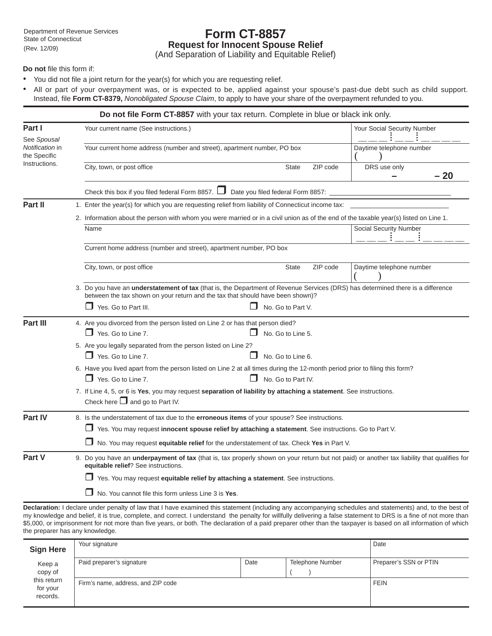# **Form CT-8857 Request for Innocent Spouse Relief**

(And Separation of Liability and Equitable Relief)

**Do not** file this form if:

- You did not file a joint return for the year(s) for which you are requesting relief.
- All or part of your overpayment was, or is expected to be, applied against your spouse's past-due debt such as child support. Instead, file Form CT-8379, *Nonobligated Spouse Claim*, to apply to have your share of the overpayment refunded to you.

| Do not file Form CT-8857 with your tax return. Complete in blue or black ink only. |  |                                                                                                                                                                                                                          |                          |          |                             |       |  |  |  |
|------------------------------------------------------------------------------------|--|--------------------------------------------------------------------------------------------------------------------------------------------------------------------------------------------------------------------------|--------------------------|----------|-----------------------------|-------|--|--|--|
| Part I                                                                             |  | Your current name (See instructions.)<br>Your current home address (number and street), apartment number, PO box                                                                                                         |                          |          | Your Social Security Number |       |  |  |  |
| See Spousal<br>Notification in<br>the Specific                                     |  |                                                                                                                                                                                                                          |                          |          | Daytime telephone number    |       |  |  |  |
| Instructions.                                                                      |  | City, town, or post office                                                                                                                                                                                               | <b>State</b>             | ZIP code | DRS use only                | $-20$ |  |  |  |
|                                                                                    |  | Check this box if you filed federal Form 8857. $\Box$ Date you filed federal Form 8857:                                                                                                                                  |                          |          |                             |       |  |  |  |
| Part II                                                                            |  | 1. Enter the year(s) for which you are requesting relief from liability of Connecticut income tax:                                                                                                                       |                          |          |                             |       |  |  |  |
|                                                                                    |  | 2. Information about the person with whom you were married or in a civil union as of the end of the taxable year(s) listed on Line 1.                                                                                    |                          |          |                             |       |  |  |  |
|                                                                                    |  | Name                                                                                                                                                                                                                     |                          |          | Social Security Number      |       |  |  |  |
|                                                                                    |  | Current home address (number and street), apartment number, PO box                                                                                                                                                       |                          |          |                             |       |  |  |  |
|                                                                                    |  | City, town, or post office                                                                                                                                                                                               | <b>State</b>             | ZIP code | Daytime telephone number    |       |  |  |  |
|                                                                                    |  | 3. Do you have an <i>understatement</i> of tax (that is, the Department of Revenue Services (DRS) has determined there is a difference<br>between the tax shown on your return and the tax that should have been shown)? |                          |          |                             |       |  |  |  |
|                                                                                    |  | Yes. Go to Part III.                                                                                                                                                                                                     | No. Go to Part V.        |          |                             |       |  |  |  |
| Part III                                                                           |  | 4. Are you divorced from the person listed on Line 2 or has that person died?<br>$\Box$ Yes. Go to Line 7.                                                                                                               | No. Go to Line 5.        |          |                             |       |  |  |  |
|                                                                                    |  | 5. Are you legally separated from the person listed on Line 2?                                                                                                                                                           |                          |          |                             |       |  |  |  |
|                                                                                    |  | $\Box$ Yes. Go to Line 7.                                                                                                                                                                                                | No. Go to Line 6.<br>l I |          |                             |       |  |  |  |
|                                                                                    |  | 6. Have you lived apart from the person listed on Line 2 at all times during the 12-month period prior to filing this form?                                                                                              |                          |          |                             |       |  |  |  |
|                                                                                    |  | $\Box$ Yes. Go to Line 7.<br>No. Go to Part IV.                                                                                                                                                                          |                          |          |                             |       |  |  |  |
|                                                                                    |  | 7. If Line 4, 5, or 6 is Yes, you may request separation of liability by attaching a statement. See instructions.<br>Check here $\Box$ and go to Part IV.                                                                |                          |          |                             |       |  |  |  |
| Part IV                                                                            |  | 8. Is the understatement of tax due to the erroneous items of your spouse? See instructions.                                                                                                                             |                          |          |                             |       |  |  |  |
|                                                                                    |  | □ Yes. You may request innocent spouse relief by attaching a statement. See instructions. Go to Part V.                                                                                                                  |                          |          |                             |       |  |  |  |
|                                                                                    |  | $\Box$ No. You may request <b>equitable relief</b> for the understatement of tax. Check Yes in Part V.                                                                                                                   |                          |          |                             |       |  |  |  |
| Part V                                                                             |  | 9. Do you have an <b>underpayment of tax</b> (that is, tax properly shown on your return but not paid) or another tax liability that qualifies for<br>equitable relief? See instructions.                                |                          |          |                             |       |  |  |  |
|                                                                                    |  | Yes. You may request equitable relief by attaching a statement. See instructions.                                                                                                                                        |                          |          |                             |       |  |  |  |
|                                                                                    |  | No. You cannot file this form unless Line 3 is Yes.                                                                                                                                                                      |                          |          |                             |       |  |  |  |
|                                                                                    |  |                                                                                                                                                                                                                          |                          |          |                             |       |  |  |  |

**Declaration:** I declare under penalty of law that I have examined this statement (including any accompanying schedules and statements) and, to the best of my knowledge and belief, it is true, complete, and correct. I understand the penalty for willfully delivering a false statement to DRS is a fine of not more than \$5,000, or imprisonment for not more than five years, or both. The declaration of a paid preparer other than the taxpayer is based on all information of which the preparer has any knowledge.

| <b>Sign Here</b>                                         | Your signature                     | Date        |                  |                        |
|----------------------------------------------------------|------------------------------------|-------------|------------------|------------------------|
| Keep a<br>copy of<br>this return<br>for your<br>records. | Paid preparer's signature          | Date        | Telephone Number | Preparer's SSN or PTIN |
|                                                          | Firm's name, address, and ZIP code | <b>FEIN</b> |                  |                        |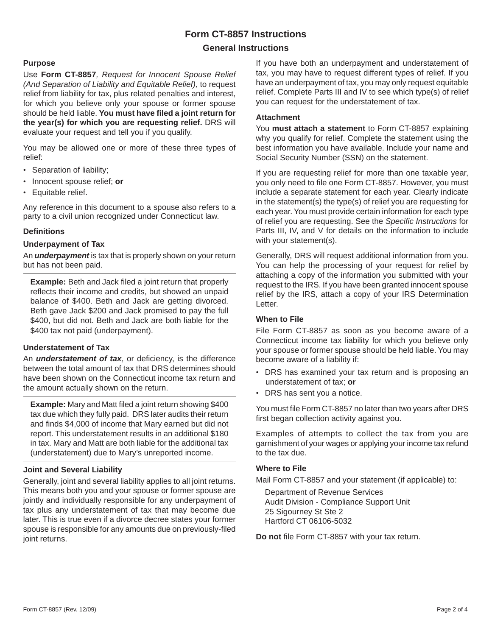## **Form CT-8857 Instructions**

## **General Instructions**

### **Purpose**

Use **Form CT-8857***, Request for Innocent Spouse Relief (And Separation of Liability and Equitable Relief),* to request relief from liability for tax, plus related penalties and interest, for which you believe only your spouse or former spouse should be held liable. You must have filed a joint return for **the year(s) for which you are requesting relief.** DRS will evaluate your request and tell you if you qualify.

You may be allowed one or more of these three types of relief:

- Separation of liability;
- Innocent spouse relief; **or**
- Equitable relief.

Any reference in this document to a spouse also refers to a party to a civil union recognized under Connecticut law.

### **Defi nitions**

#### **Underpayment of Tax**

An *underpayment* is tax that is properly shown on your return but has not been paid.

**Example:** Beth and Jack filed a joint return that properly reflects their income and credits, but showed an unpaid balance of \$400. Beth and Jack are getting divorced. Beth gave Jack \$200 and Jack promised to pay the full \$400, but did not. Beth and Jack are both liable for the \$400 tax not paid (underpayment).

#### **Understatement of Tax**

An *understatement of tax*, or deficiency, is the difference between the total amount of tax that DRS determines should have been shown on the Connecticut income tax return and the amount actually shown on the return.

**Example:** Mary and Matt filed a joint return showing \$400 tax due which they fully paid. DRS later audits their return and finds \$4,000 of income that Mary earned but did not report. This understatement results in an additional \$180 in tax. Mary and Matt are both liable for the additional tax (understatement) due to Mary's unreported income.

#### **Joint and Several Liability**

Generally, joint and several liability applies to all joint returns. This means both you and your spouse or former spouse are jointly and individually responsible for any underpayment of tax plus any understatement of tax that may become due later. This is true even if a divorce decree states your former spouse is responsible for any amounts due on previously-filed joint returns.

If you have both an underpayment and understatement of tax, you may have to request different types of relief. If you have an underpayment of tax, you may only request equitable relief. Complete Parts III and IV to see which type(s) of relief you can request for the understatement of tax.

### **Attachment**

You **must attach a statement** to Form CT-8857 explaining why you qualify for relief. Complete the statement using the best information you have available. Include your name and Social Security Number (SSN) on the statement.

If you are requesting relief for more than one taxable year, you only need to file one Form CT-8857. However, you must include a separate statement for each year. Clearly indicate in the statement(s) the type(s) of relief you are requesting for each year. You must provide certain information for each type of relief you are requesting. See the *Specifi c Instructions* for Parts III, IV, and V for details on the information to include with your statement(s).

Generally, DRS will request additional information from you. You can help the processing of your request for relief by attaching a copy of the information you submitted with your request to the IRS. If you have been granted innocent spouse relief by the IRS, attach a copy of your IRS Determination Letter.

## **When to File**

File Form CT-8857 as soon as you become aware of a Connecticut income tax liability for which you believe only your spouse or former spouse should be held liable. You may become aware of a liability if:

- DRS has examined your tax return and is proposing an understatement of tax; **or**
- DRS has sent you a notice.

You must file Form CT-8857 no later than two years after DRS first began collection activity against you.

Examples of attempts to collect the tax from you are garnishment of your wages or applying your income tax refund to the tax due.

#### **Where to File**

Mail Form CT-8857 and your statement (if applicable) to:

 Department of Revenue Services Audit Division - Compliance Support Unit 25 Sigourney St Ste 2 Hartford CT 06106-5032

Do not file Form CT-8857 with your tax return.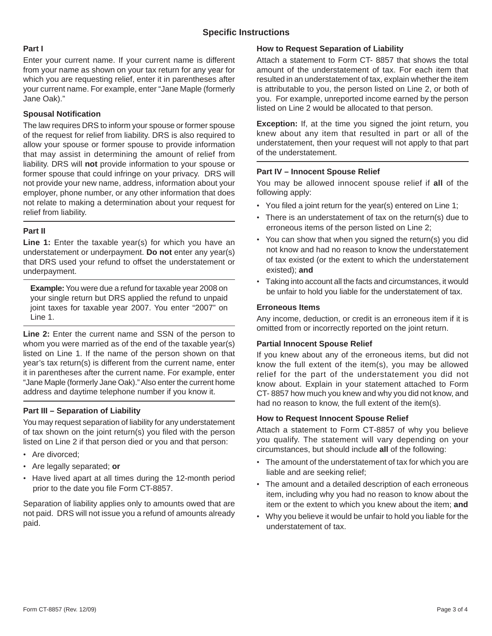## **Part I**

Enter your current name. If your current name is different from your name as shown on your tax return for any year for which you are requesting relief, enter it in parentheses after your current name. For example, enter "Jane Maple (formerly Jane Oak)."

## **Spousal Notification**

The law requires DRS to inform your spouse or former spouse of the request for relief from liability. DRS is also required to allow your spouse or former spouse to provide information that may assist in determining the amount of relief from liability. DRS will **not** provide information to your spouse or former spouse that could infringe on your privacy. DRS will not provide your new name, address, information about your employer, phone number, or any other information that does not relate to making a determination about your request for relief from liability.

## **Part II**

Line 1: Enter the taxable year(s) for which you have an understatement or underpayment. **Do not** enter any year(s) that DRS used your refund to offset the understatement or underpayment.

**Example:** You were due a refund for taxable year 2008 on your single return but DRS applied the refund to unpaid joint taxes for taxable year 2007. You enter "2007" on Line 1.

**Line 2:** Enter the current name and SSN of the person to whom you were married as of the end of the taxable year(s) listed on Line 1. If the name of the person shown on that year's tax return(s) is different from the current name, enter it in parentheses after the current name. For example, enter "Jane Maple (formerly Jane Oak)." Also enter the current home address and daytime telephone number if you know it.

## **Part III – Separation of Liability**

You may request separation of liability for any understatement of tax shown on the joint return(s) you filed with the person listed on Line 2 if that person died or you and that person:

- Are divorced;
- Are legally separated; **or**
- Have lived apart at all times during the 12-month period prior to the date you file Form CT-8857.

Separation of liability applies only to amounts owed that are not paid. DRS will not issue you a refund of amounts already paid.

## **How to Request Separation of Liability**

Attach a statement to Form CT- 8857 that shows the total amount of the understatement of tax. For each item that resulted in an understatement of tax, explain whether the item is attributable to you, the person listed on Line 2, or both of you. For example, unreported income earned by the person listed on Line 2 would be allocated to that person.

**Exception:** If, at the time you signed the joint return, you knew about any item that resulted in part or all of the understatement, then your request will not apply to that part of the understatement.

## **Part IV – Innocent Spouse Relief**

You may be allowed innocent spouse relief if **all** of the following apply:

- You filed a joint return for the year(s) entered on Line 1;
- There is an understatement of tax on the return(s) due to erroneous items of the person listed on Line 2;
- You can show that when you signed the return(s) you did not know and had no reason to know the understatement of tax existed (or the extent to which the understatement existed); **and**
- Taking into account all the facts and circumstances, it would be unfair to hold you liable for the understatement of tax.

## **Erroneous Items**

Any income, deduction, or credit is an erroneous item if it is omitted from or incorrectly reported on the joint return.

## **Partial Innocent Spouse Relief**

If you knew about any of the erroneous items, but did not know the full extent of the item(s), you may be allowed relief for the part of the understatement you did not know about. Explain in your statement attached to Form CT- 8857 how much you knew and why you did not know, and had no reason to know, the full extent of the item(s).

## **How to Request Innocent Spouse Relief**

Attach a statement to Form CT-8857 of why you believe you qualify. The statement will vary depending on your circumstances, but should include **all** of the following:

- The amount of the understatement of tax for which you are liable and are seeking relief;
- The amount and a detailed description of each erroneous item, including why you had no reason to know about the item or the extent to which you knew about the item; **and**
- Why you believe it would be unfair to hold you liable for the understatement of tax.